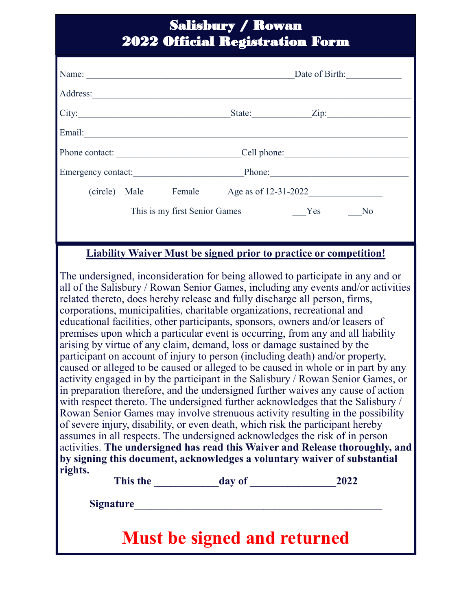### Salisbury / Rowan 2022 Official Registration Form

| Name:                                                                                                                                                                                                                                                                                                                                                                                                                                                                                                                                                                                                                                                                                                                                                                                                                                                                                                                         | Date of Birth:                                                                                                                                                                                                                 |  |
|-------------------------------------------------------------------------------------------------------------------------------------------------------------------------------------------------------------------------------------------------------------------------------------------------------------------------------------------------------------------------------------------------------------------------------------------------------------------------------------------------------------------------------------------------------------------------------------------------------------------------------------------------------------------------------------------------------------------------------------------------------------------------------------------------------------------------------------------------------------------------------------------------------------------------------|--------------------------------------------------------------------------------------------------------------------------------------------------------------------------------------------------------------------------------|--|
|                                                                                                                                                                                                                                                                                                                                                                                                                                                                                                                                                                                                                                                                                                                                                                                                                                                                                                                               |                                                                                                                                                                                                                                |  |
|                                                                                                                                                                                                                                                                                                                                                                                                                                                                                                                                                                                                                                                                                                                                                                                                                                                                                                                               |                                                                                                                                                                                                                                |  |
|                                                                                                                                                                                                                                                                                                                                                                                                                                                                                                                                                                                                                                                                                                                                                                                                                                                                                                                               | Email: No. 1998. The Commission of the Commission of the Commission of the Commission of the Commission of the Commission of the Commission of the Commission of the Commission of the Commission of the Commission of the Com |  |
|                                                                                                                                                                                                                                                                                                                                                                                                                                                                                                                                                                                                                                                                                                                                                                                                                                                                                                                               |                                                                                                                                                                                                                                |  |
|                                                                                                                                                                                                                                                                                                                                                                                                                                                                                                                                                                                                                                                                                                                                                                                                                                                                                                                               | Emergency contact: Phone: Phone:                                                                                                                                                                                               |  |
|                                                                                                                                                                                                                                                                                                                                                                                                                                                                                                                                                                                                                                                                                                                                                                                                                                                                                                                               | (circle) Male Female Age as of 12-31-2022                                                                                                                                                                                      |  |
|                                                                                                                                                                                                                                                                                                                                                                                                                                                                                                                                                                                                                                                                                                                                                                                                                                                                                                                               |                                                                                                                                                                                                                                |  |
|                                                                                                                                                                                                                                                                                                                                                                                                                                                                                                                                                                                                                                                                                                                                                                                                                                                                                                                               |                                                                                                                                                                                                                                |  |
| <b>Liability Waiver Must be signed prior to practice or competition!</b>                                                                                                                                                                                                                                                                                                                                                                                                                                                                                                                                                                                                                                                                                                                                                                                                                                                      |                                                                                                                                                                                                                                |  |
| The undersigned, inconsideration for being allowed to participate in any and or<br>all of the Salisbury / Rowan Senior Games, including any events and/or activities<br>related thereto, does hereby release and fully discharge all person, firms,<br>corporations, municipalities, charitable organizations, recreational and<br>educational facilities, other participants, sponsors, owners and/or leasers of<br>premises upon which a particular event is occurring, from any and all liability<br>arising by virtue of any claim, demand, loss or damage sustained by the<br>participant on account of injury to person (including death) and/or property,<br>caused or alleged to be caused or alleged to be caused in whole or in part by any<br>activity engaged in by the participant in the Salisbury / Rowan Senior Games, or<br>in preparation therefore, and the undersigned further waives any cause of action |                                                                                                                                                                                                                                |  |

in preparation therefore, and the undersigned further waives any cause of action with respect thereto. The undersigned further acknowledges that the Salisbury / Rowan Senior Games may involve strenuous activity resulting in the possibility of severe injury, disability, or even death, which risk the participant hereby assumes in all respects. The undersigned acknowledges the risk of in person activities. **The undersigned has read this Waiver and Release thoroughly, and by signing this document, acknowledges a voluntary waiver of substantial rights.**

**This the \_\_\_\_\_\_\_\_\_\_\_\_day of \_\_\_\_\_\_\_\_\_\_\_\_\_\_\_\_2022**

**Signature\_\_\_\_\_\_\_\_\_\_\_\_\_\_\_\_\_\_\_\_\_\_\_\_\_\_\_\_\_\_\_\_\_\_\_\_\_\_\_\_\_\_\_\_\_\_**

## **Must be signed and returned**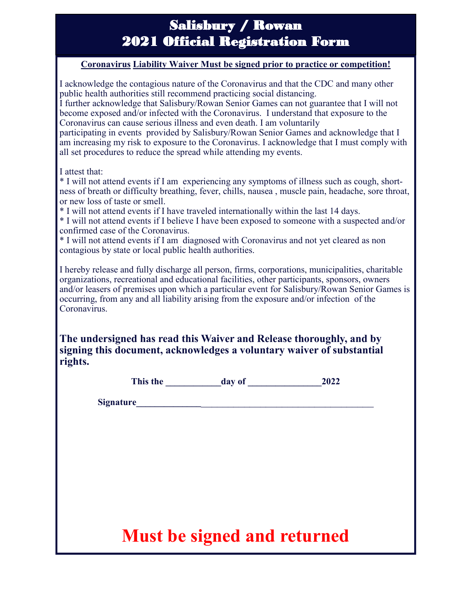### Salisbury / Rowan 2021 Official Registration Form

#### **Coronavirus Liability Waiver Must be signed prior to practice or competition!**

I acknowledge the contagious nature of the Coronavirus and that the CDC and many other public health authorities still recommend practicing social distancing. I further acknowledge that Salisbury/Rowan Senior Games can not guarantee that I will not become exposed and/or infected with the Coronavirus. I understand that exposure to the Coronavirus can cause serious illness and even death. I am voluntarily participating in events provided by Salisbury/Rowan Senior Games and acknowledge that I

am increasing my risk to exposure to the Coronavirus. I acknowledge that I must comply with all set procedures to reduce the spread while attending my events.

I attest that:

\* I will not attend events if I am experiencing any symptoms of illness such as cough, shortness of breath or difficulty breathing, fever, chills, nausea , muscle pain, headache, sore throat, or new loss of taste or smell.

\* I will not attend events if I have traveled internationally within the last 14 days.

\* I will not attend events if I believe I have been exposed to someone with a suspected and/or confirmed case of the Coronavirus.

\* I will not attend events if I am diagnosed with Coronavirus and not yet cleared as non contagious by state or local public health authorities.

I hereby release and fully discharge all person, firms, corporations, municipalities, charitable organizations, recreational and educational facilities, other participants, sponsors, owners and/or leasers of premises upon which a particular event for Salisbury/Rowan Senior Games is occurring, from any and all liability arising from the exposure and/or infection of the Coronavirus.

**The undersigned has read this Waiver and Release thoroughly, and by signing this document, acknowledges a voluntary waiver of substantial rights.**

This the day of 2022

**Signature\_\_\_\_\_\_\_\_\_\_\_\_\_\_**\_\_\_\_\_\_\_\_\_\_\_\_\_\_\_\_\_\_\_\_\_\_\_\_\_\_\_\_\_\_\_\_

# **Must be signed and returned**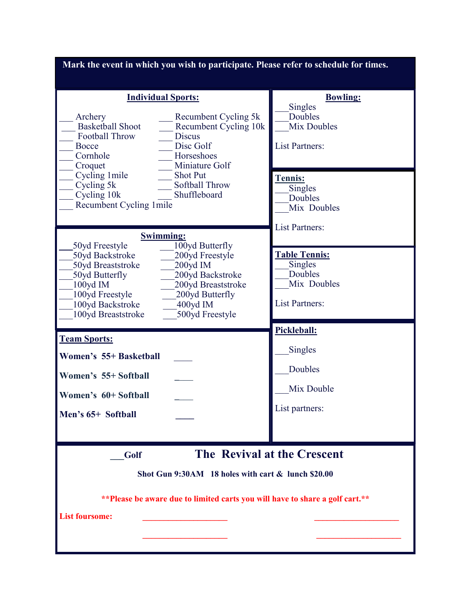| Mark the event in which you wish to participate. Please refer to schedule for times.                                                                                                                                                                                                              |                                                                                    |  |
|---------------------------------------------------------------------------------------------------------------------------------------------------------------------------------------------------------------------------------------------------------------------------------------------------|------------------------------------------------------------------------------------|--|
| <b>Individual Sports:</b><br>Recumbent Cycling 5k<br>Archery<br><b>Basketball Shoot</b><br>Recumbent Cycling 10k<br>Football Throw<br><b>Discus</b><br>Disc Golf<br>Bocce<br>Cornhole<br>Horseshoes<br>Miniature Golf<br>Croquet                                                                  | <b>Bowling:</b><br>Singles<br>Doubles<br>Mix Doubles<br><b>List Partners:</b>      |  |
| Cycling 1 mile<br><b>Shot Put</b><br>Softball Throw<br>Cycling 5k<br>Shuffleboard<br>Cycling 10k<br>Recumbent Cycling 1mile<br><b>Swimming:</b>                                                                                                                                                   | <b>Tennis:</b><br>Singles<br>Doubles<br>Mix Doubles<br><b>List Partners:</b>       |  |
| 100yd Butterfly<br>50yd Freestyle<br>50yd Backstroke<br>200yd Freestyle<br>50yd Breaststroke<br>200yd IM<br>200yd Backstroke<br>50yd Butterfly<br>100yd IM<br>200yd Breaststroke<br>100yd Freestyle<br>200yd Butterfly<br>100yd Backstroke<br>$400yd$ IM<br>100yd Breaststroke<br>500yd Freestyle | <u>Table Tennis:</u><br>Singles<br>Doubles<br>Mix Doubles<br><b>List Partners:</b> |  |
| <b>Team Sports:</b><br>Women's 55+ Basketball<br>Women's 55+ Softball<br>Women's 60+ Softball<br>Men's 65+ Softball                                                                                                                                                                               | Pickleball:<br>Singles<br>Doubles<br>Mix Double<br>List partners:                  |  |
| The Revival at the Crescent<br>Golf<br>Shot Gun 9:30AM 18 holes with cart & lunch \$20.00<br>** Please be aware due to limited carts you will have to share a golf cart.**<br><b>List foursome:</b>                                                                                               |                                                                                    |  |